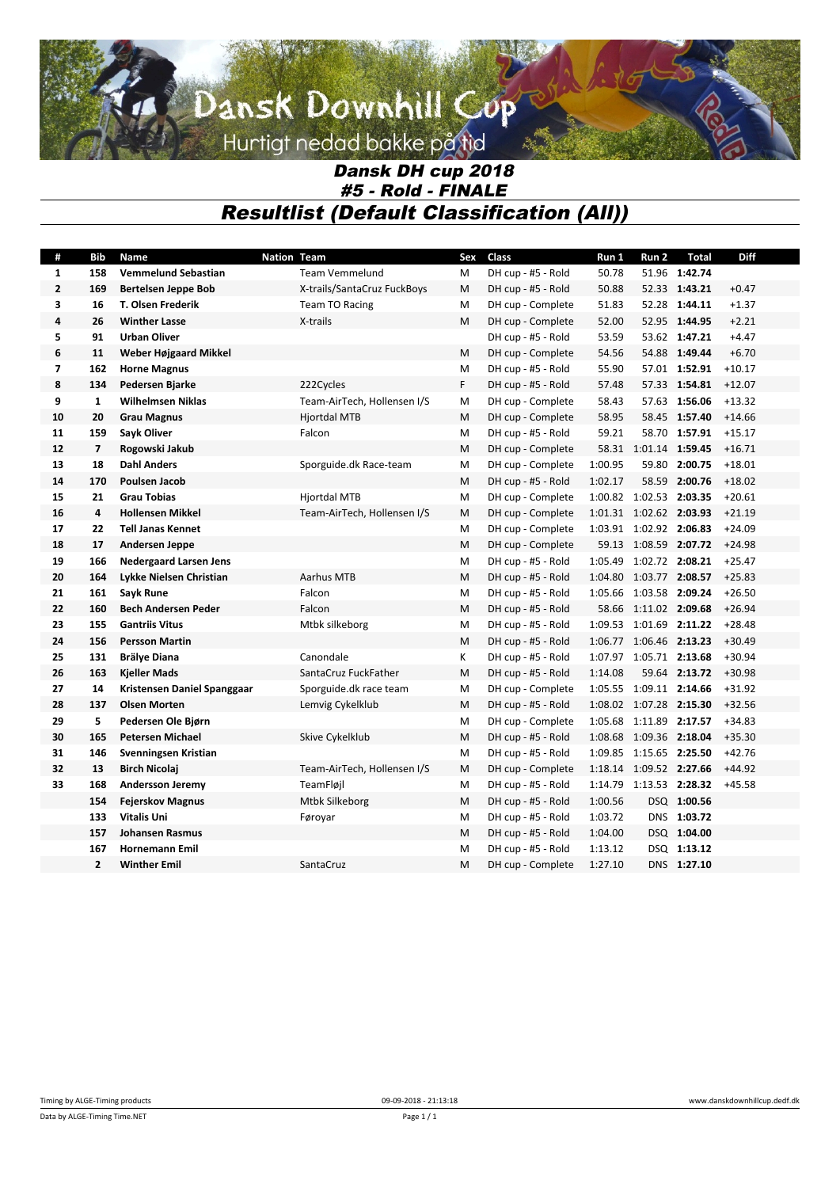## Dansk Downhill Cup Hurtigt nedad bakke på tid

## *Dansk DH cup 2018 #5 - Rold - FINALE Resultlist (Default Classification (All))*

| #                       | <b>Bib</b>     | Name                          | <b>Nation Team</b>          | Sex | Class              | Run 1   | Run 2                 | Total           | <b>Diff</b> |
|-------------------------|----------------|-------------------------------|-----------------------------|-----|--------------------|---------|-----------------------|-----------------|-------------|
| 1                       | 158            | <b>Vemmelund Sebastian</b>    | Team Vemmelund              | M   | DH cup - #5 - Rold | 50.78   |                       | 51.96 1:42.74   |             |
| $\overline{2}$          | 169            | Bertelsen Jeppe Bob           | X-trails/SantaCruz FuckBoys | M   | DH cup - #5 - Rold | 50.88   |                       | 52.33 1:43.21   | $+0.47$     |
| 3                       | 16             | T. Olsen Frederik             | Team TO Racing              | M   | DH cup - Complete  | 51.83   |                       | 52.28 1:44.11   | $+1.37$     |
| 4                       | 26             | <b>Winther Lasse</b>          | X-trails                    | M   | DH cup - Complete  | 52.00   |                       | 52.95 1:44.95   | $+2.21$     |
| 5                       | 91             | <b>Urban Oliver</b>           |                             |     | DH cup - #5 - Rold | 53.59   |                       | 53.62 1:47.21   | $+4.47$     |
| 6                       | 11             | Weber Højgaard Mikkel         |                             | M   | DH cup - Complete  | 54.56   | 54.88                 | 1:49.44         | $+6.70$     |
| $\overline{\mathbf{z}}$ | 162            | <b>Horne Magnus</b>           |                             | M   | DH cup - #5 - Rold | 55.90   | 57.01                 | 1:52.91         | $+10.17$    |
| 8                       | 134            | Pedersen Bjarke               | 222Cycles                   | F   | DH cup - #5 - Rold | 57.48   |                       | 57.33 1:54.81   | $+12.07$    |
| 9                       | $\mathbf{1}$   | <b>Wilhelmsen Niklas</b>      | Team-AirTech, Hollensen I/S | M   | DH cup - Complete  | 58.43   |                       | 57.63 1:56.06   | $+13.32$    |
| 10                      | 20             | <b>Grau Magnus</b>            | <b>Hjortdal MTB</b>         | M   | DH cup - Complete  | 58.95   |                       | 58.45 1:57.40   | $+14.66$    |
| 11                      | 159            | Sayk Oliver                   | Falcon                      | M   | DH cup - #5 - Rold | 59.21   | 58.70                 | 1:57.91         | $+15.17$    |
| 12                      | 7              | Rogowski Jakub                |                             | M   | DH cup - Complete  |         | 58.31 1:01.14 1:59.45 |                 | $+16.71$    |
| 13                      | 18             | <b>Dahl Anders</b>            | Sporguide.dk Race-team      | M   | DH cup - Complete  | 1:00.95 | 59.80                 | 2:00.75         | $+18.01$    |
| 14                      | 170            | <b>Poulsen Jacob</b>          |                             | M   | DH cup - #5 - Rold | 1:02.17 | 58.59                 | 2:00.76         | $+18.02$    |
| 15                      | 21             | <b>Grau Tobias</b>            | <b>Hjortdal MTB</b>         | M   | DH cup - Complete  | 1:00.82 | 1:02.53 2:03.35       |                 | $+20.61$    |
| 16                      | 4              | <b>Hollensen Mikkel</b>       | Team-AirTech, Hollensen I/S | M   | DH cup - Complete  | 1:01.31 | 1:02.62 2:03.93       |                 | $+21.19$    |
| 17                      | 22             | <b>Tell Janas Kennet</b>      |                             | M   | DH cup - Complete  | 1:03.91 | 1:02.92 2:06.83       |                 | $+24.09$    |
| 18                      | 17             | <b>Andersen Jeppe</b>         |                             | M   | DH cup - Complete  | 59.13   | 1:08.59 2:07.72       |                 | $+24.98$    |
| 19                      | 166            | <b>Nedergaard Larsen Jens</b> |                             | M   | DH cup - #5 - Rold | 1:05.49 |                       | 1:02.72 2:08.21 | $+25.47$    |
| 20                      | 164            | Lykke Nielsen Christian       | <b>Aarhus MTB</b>           | M   | DH cup - #5 - Rold | 1:04.80 | 1:03.77 2:08.57       |                 | $+25.83$    |
| 21                      | 161            | Sayk Rune                     | Falcon                      | M   | DH cup - #5 - Rold | 1:05.66 | 1:03.58 2:09.24       |                 | $+26.50$    |
| 22                      | 160            | <b>Bech Andersen Peder</b>    | Falcon                      | M   | DH cup - #5 - Rold | 58.66   | 1:11.02 2:09.68       |                 | $+26.94$    |
| 23                      | 155            | <b>Gantriis Vitus</b>         | Mtbk silkeborg              | M   | DH cup - #5 - Rold | 1:09.53 |                       | 1:01.69 2:11.22 | $+28.48$    |
| 24                      | 156            | <b>Persson Martin</b>         |                             | M   | DH cup - #5 - Rold | 1:06.77 | 1:06.46 2:13.23       |                 | $+30.49$    |
| 25                      | 131            | <b>Brälye Diana</b>           | Canondale                   | К   | DH cup - #5 - Rold | 1:07.97 | 1:05.71 2:13.68       |                 | $+30.94$    |
| 26                      | 163            | <b>Kjeller Mads</b>           | SantaCruz FuckFather        | M   | DH cup - #5 - Rold | 1:14.08 |                       | 59.64 2:13.72   | $+30.98$    |
| 27                      | 14             | Kristensen Daniel Spanggaar   | Sporguide.dk race team      | M   | DH cup - Complete  | 1:05.55 | 1:09.11 2:14.66       |                 | $+31.92$    |
| 28                      | 137            | <b>Olsen Morten</b>           | Lemvig Cykelklub            | M   | DH cup - #5 - Rold | 1:08.02 | 1:07.28 2:15.30       |                 | $+32.56$    |
| 29                      | 5              | Pedersen Ole Bjørn            |                             | M   | DH cup - Complete  | 1:05.68 | 1:11.89 2:17.57       |                 | $+34.83$    |
| 30                      | 165            | <b>Petersen Michael</b>       | Skive Cykelklub             | M   | DH cup - #5 - Rold | 1:08.68 | 1:09.36 2:18.04       |                 | $+35.30$    |
| 31                      | 146            | Svenningsen Kristian          |                             | M   | DH cup - #5 - Rold | 1:09.85 | 1:15.65 2:25.50       |                 | $+42.76$    |
| 32                      | 13             | <b>Birch Nicolaj</b>          | Team-AirTech, Hollensen I/S | M   | DH cup - Complete  | 1:18.14 | 1:09.52 2:27.66       |                 | $+44.92$    |
| 33                      | 168            | <b>Andersson Jeremy</b>       | TeamFløjl                   | M   | DH cup - #5 - Rold | 1:14.79 | 1:13.53 2:28.32       |                 | $+45.58$    |
|                         | 154            | <b>Fejerskov Magnus</b>       | <b>Mtbk Silkeborg</b>       | M   | DH cup - #5 - Rold | 1:00.56 |                       | DSQ 1:00.56     |             |
|                         | 133            | <b>Vitalis Uni</b>            | Føroyar                     | M   | DH cup - #5 - Rold | 1:03.72 |                       | DNS 1:03.72     |             |
|                         | 157            | <b>Johansen Rasmus</b>        |                             | M   | DH cup - #5 - Rold | 1:04.00 |                       | DSQ 1:04.00     |             |
|                         | 167            | <b>Hornemann Emil</b>         |                             | M   | DH cup - #5 - Rold | 1:13.12 |                       | DSQ 1:13.12     |             |
|                         | $\overline{2}$ | <b>Winther Emil</b>           | SantaCruz                   | M   | DH cup - Complete  | 1:27.10 |                       | DNS 1:27.10     |             |
|                         |                |                               |                             |     |                    |         |                       |                 |             |